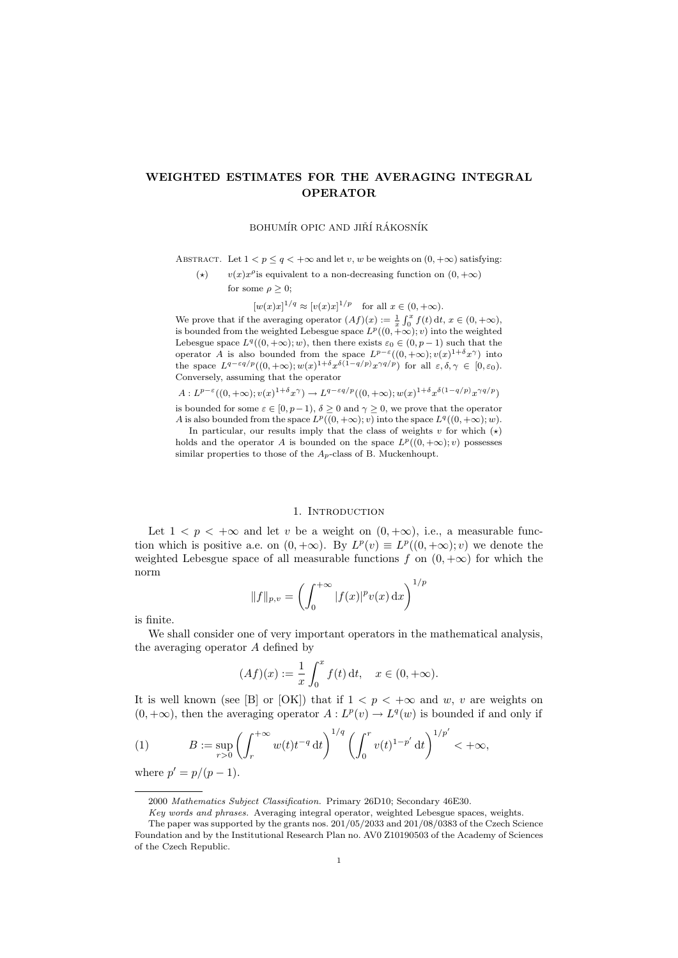# WEIGHTED ESTIMATES FOR THE AVERAGING INTEGRAL OPERATOR

## BOHUMÍR OPIC AND JIŘÍ RÁKOSNÍK

ABSTRACT. Let  $1 < p \leq q < +\infty$  and let v, w be weights on  $(0, +\infty)$  satisfying:

(\*)  $v(x)x^{\rho}$  is equivalent to a non-decreasing function on  $(0, +\infty)$ for some  $\rho \geq 0$ ;

 $[w(x)x]^{1/q} \approx [v(x)x]^{1/p}$  for all  $x \in (0, +\infty)$ .

We prove that if the averaging operator  $(Af)(x) := \frac{1}{x} \int_0^x f(t) dt, x \in (0, +\infty)$ , is bounded from the weighted Lebesgue space  $L^p((0, +\infty); v)$  into the weighted Lebesgue space  $L^q((0, +\infty); w)$ , then there exists  $\varepsilon_0 \in (0, p-1)$  such that the operator A is also bounded from the space  $L^{p-\varepsilon}((0, +\infty); v(x)^{1+\delta}x^{\gamma})$  into the space  $L^{q-\varepsilon q/p}((0,+\infty); w(x)^{1+\delta}x^{\delta(1-q/p)}x^{\gamma q/p})$  for all  $\varepsilon, \delta, \gamma \in [0,\varepsilon_0)$ . Conversely, assuming that the operator

 $A: L^{p-\varepsilon}((0, +\infty); v(x)^{1+\delta}x^{\gamma}) \to L^{q-\varepsilon q/p}((0, +\infty); w(x)^{1+\delta}x^{\delta(1-q/p)}x^{\gamma q/p})$ 

is bounded for some  $\varepsilon \in [0, p-1)$ ,  $\delta \geq 0$  and  $\gamma \geq 0$ , we prove that the operator A is also bounded from the space  $L^p((0, +\infty); v)$  into the space  $L^q((0, +\infty); w)$ .

In particular, our results imply that the class of weights v for which  $(\star)$ holds and the operator A is bounded on the space  $L^p((0, +\infty); v)$  possesses similar properties to those of the  $A_p$ -class of B. Muckenhoupt.

#### 1. Introduction

Let  $1 \leq p \leq +\infty$  and let v be a weight on  $(0, +\infty)$ , i.e., a measurable function which is positive a.e. on  $(0, +\infty)$ . By  $L^p(v) \equiv L^p((0, +\infty); v)$  we denote the weighted Lebesgue space of all measurable functions f on  $(0, +\infty)$  for which the norm

$$
||f||_{p,v} = \left(\int_0^{+\infty} |f(x)|^p v(x) \,dx\right)^{1/p}
$$

is finite.

We shall consider one of very important operators in the mathematical analysis, the averaging operator A defined by

$$
(Af)(x) := \frac{1}{x} \int_0^x f(t) \, \mathrm{d}t, \quad x \in (0, +\infty).
$$

It is well known (see [B] or [OK]) that if  $1 < p < +\infty$  and w, v are weights on  $(0, +\infty)$ , then the averaging operator  $A: L^p(v) \to L^q(w)$  is bounded if and only if

(1) 
$$
B := \sup_{r>0} \left( \int_r^{+\infty} w(t) t^{-q} dt \right)^{1/q} \left( \int_0^r v(t)^{1-p'} dt \right)^{1/p'} < +\infty,
$$

where  $p' = p/(p - 1)$ .

<sup>2000</sup> Mathematics Subject Classification. Primary 26D10; Secondary 46E30.

Key words and phrases. Averaging integral operator, weighted Lebesgue spaces, weights. The paper was supported by the grants nos. 201/05/2033 and 201/08/0383 of the Czech Science

Foundation and by the Institutional Research Plan no. AV0 Z10190503 of the Academy of Sciences of the Czech Republic.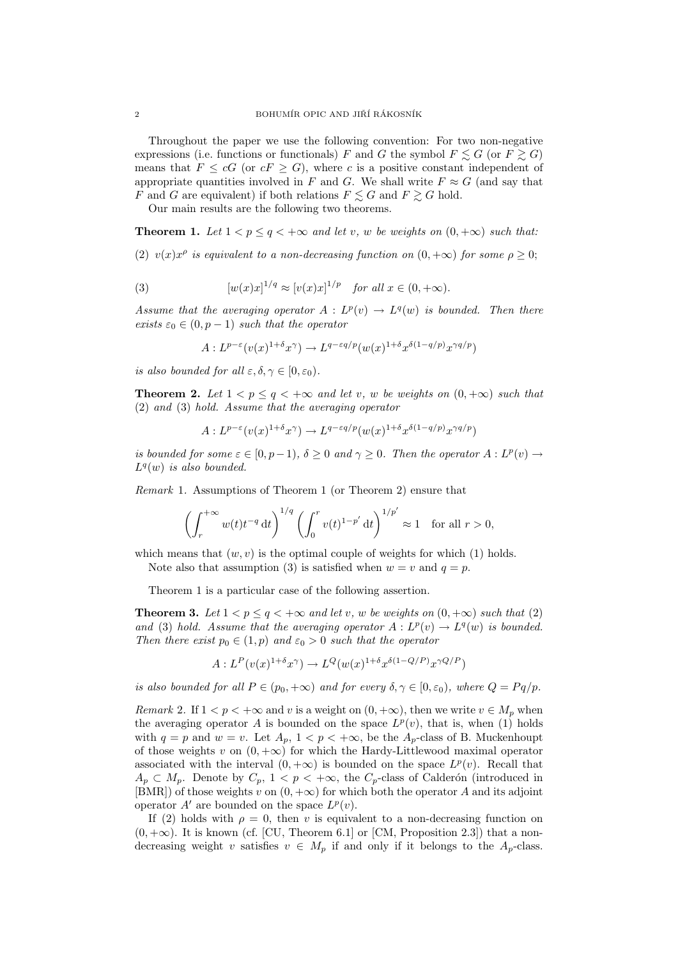Throughout the paper we use the following convention: For two non-negative expressions (i.e. functions or functionals) F and G the symbol  $F \le G$  (or  $F \ge G$ ) means that  $F \leq cG$  (or  $cF \geq G$ ), where c is a positive constant independent of appropriate quantities involved in F and G. We shall write  $F \approx G$  (and say that F and G are equivalent) if both relations  $F \leq G$  and  $F \geq G$  hold.

Our main results are the following two theorems.

**Theorem 1.** Let  $1 < p \leq q < +\infty$  and let v, w be weights on  $(0, +\infty)$  such that:

(2)  $v(x)x^{\rho}$  is equivalent to a non-decreasing function on  $(0, +\infty)$  for some  $\rho \geq 0$ ;

(3) 
$$
[w(x)x]^{1/q} \approx [v(x)x]^{1/p} \text{ for all } x \in (0, +\infty).
$$

Assume that the averaging operator  $A: L^p(v) \to L^q(w)$  is bounded. Then there exists  $\varepsilon_0 \in (0, p-1)$  such that the operator

$$
A: L^{p-\varepsilon}(v(x)^{1+\delta}x^{\gamma}) \to L^{q-\varepsilon q/p}(w(x)^{1+\delta}x^{\delta(1-q/p)}x^{\gamma q/p})
$$

is also bounded for all  $\varepsilon, \delta, \gamma \in [0, \varepsilon_0)$ .

**Theorem 2.** Let  $1 < p \leq q < +\infty$  and let v, w be weights on  $(0, +\infty)$  such that (2) and (3) hold. Assume that the averaging operator

$$
A: L^{p-\varepsilon}(v(x)^{1+\delta}x^{\gamma}) \to L^{q-\varepsilon q/p}(w(x)^{1+\delta}x^{\delta(1-q/p)}x^{\gamma q/p})
$$

is bounded for some  $\varepsilon \in [0, p-1)$ ,  $\delta \geq 0$  and  $\gamma \geq 0$ . Then the operator  $A: L^p(v) \to L^p(v)$  $L^q(w)$  is also bounded.

Remark 1. Assumptions of Theorem 1 (or Theorem 2) ensure that

$$
\left(\int_r^{+\infty} w(t)t^{-q} dt\right)^{1/q} \left(\int_0^r v(t)^{1-p'} dt\right)^{1/p'} \approx 1 \text{ for all } r > 0,
$$

which means that  $(w, v)$  is the optimal couple of weights for which (1) holds.

Note also that assumption (3) is satisfied when  $w = v$  and  $q = p$ .

Theorem 1 is a particular case of the following assertion.

**Theorem 3.** Let  $1 < p \leq q < +\infty$  and let v, w be weights on  $(0, +\infty)$  such that (2) and (3) hold. Assume that the averaging operator  $A: L^p(v) \to L^q(w)$  is bounded. Then there exist  $p_0 \in (1, p)$  and  $\varepsilon_0 > 0$  such that the operator

$$
A: L^{P}(v(x)^{1+\delta}x^{\gamma}) \to L^{Q}(w(x)^{1+\delta}x^{\delta(1-Q/P)}x^{\gamma Q/P})
$$

is also bounded for all  $P \in (p_0, +\infty)$  and for every  $\delta, \gamma \in [0, \varepsilon_0)$ , where  $Q = Pq/p$ .

Remark 2. If  $1 < p < +\infty$  and v is a weight on  $(0, +\infty)$ , then we write  $v \in M_p$  when the averaging operator A is bounded on the space  $L^p(v)$ , that is, when (1) holds with  $q = p$  and  $w = v$ . Let  $A_p$ ,  $1 < p < +\infty$ , be the  $A_p$ -class of B. Muckenhoupt of those weights v on  $(0, +\infty)$  for which the Hardy-Littlewood maximal operator associated with the interval  $(0, +\infty)$  is bounded on the space  $L^p(v)$ . Recall that  $A_p \subset M_p$ . Denote by  $C_p$ ,  $1 < p < +\infty$ , the  $C_p$ -class of Calderón (introduced in [BMR]) of those weights v on  $(0, +\infty)$  for which both the operator A and its adjoint operator  $A'$  are bounded on the space  $L^p(v)$ .

If (2) holds with  $\rho = 0$ , then v is equivalent to a non-decreasing function on  $(0, +\infty)$ . It is known (cf. [CU, Theorem 6.1] or [CM, Proposition 2.3]) that a nondecreasing weight v satisfies  $v \in M_p$  if and only if it belongs to the  $A_p$ -class.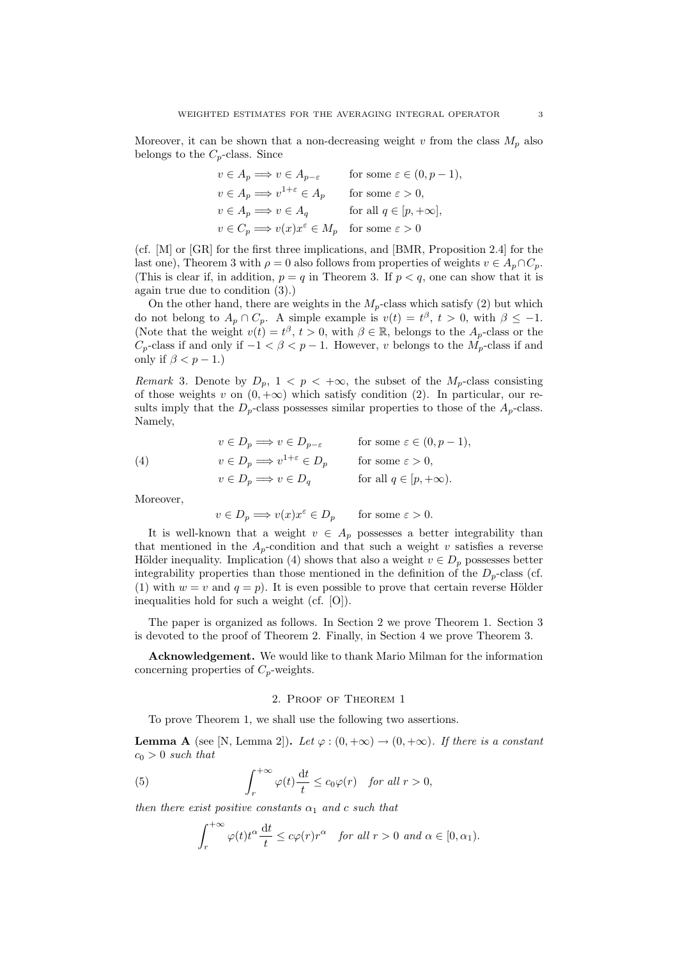Moreover, it can be shown that a non-decreasing weight v from the class  $M_p$  also belongs to the  $C_p$ -class. Since

$$
v \in A_p \Longrightarrow v \in A_{p-\varepsilon} \quad \text{for some } \varepsilon \in (0, p-1),
$$
  
\n
$$
v \in A_p \Longrightarrow v^{1+\varepsilon} \in A_p \quad \text{for some } \varepsilon > 0,
$$
  
\n
$$
v \in A_p \Longrightarrow v \in A_q \quad \text{for all } q \in [p, +\infty],
$$
  
\n
$$
v \in C_p \Longrightarrow v(x)x^{\varepsilon} \in M_p \quad \text{for some } \varepsilon > 0
$$

(cf. [M] or [GR] for the first three implications, and [BMR, Proposition 2.4] for the last one), Theorem 3 with  $\rho = 0$  also follows from properties of weights  $v \in A_p \cap C_p$ . (This is clear if, in addition,  $p = q$  in Theorem 3. If  $p < q$ , one can show that it is again true due to condition (3).)

On the other hand, there are weights in the  $M_p$ -class which satisfy (2) but which do not belong to  $A_p \cap C_p$ . A simple example is  $v(t) = t^{\beta}, t > 0$ , with  $\beta \le -1$ . (Note that the weight  $v(t) = t^{\beta}, t > 0$ , with  $\beta \in \mathbb{R}$ , belongs to the  $A_p$ -class or the  $C_p$ -class if and only if  $-1 < \beta < p-1$ . However, v belongs to the  $M_p$ -class if and only if  $\beta < p - 1$ .)

Remark 3. Denote by  $D_p$ ,  $1 < p < +\infty$ , the subset of the  $M_p$ -class consisting of those weights v on  $(0, +\infty)$  which satisfy condition (2). In particular, our results imply that the  $D_p$ -class possesses similar properties to those of the  $A_p$ -class. Namely,

(4) 
$$
v \in D_p \Longrightarrow v \in D_{p-\varepsilon} \quad \text{for some } \varepsilon \in (0, p-1),
$$

$$
v \in D_p \Longrightarrow v^{1+\varepsilon} \in D_p \quad \text{for some } \varepsilon > 0,
$$

$$
v \in D_p \Longrightarrow v \in D_q \quad \text{for all } q \in [p, +\infty).
$$

Moreover,

$$
v \in D_p \Longrightarrow v(x)x^{\varepsilon} \in D_p \quad \text{for some } \varepsilon > 0.
$$

It is well-known that a weight  $v \in A_p$  possesses a better integrability than that mentioned in the  $A_p$ -condition and that such a weight v satisfies a reverse Hölder inequality. Implication (4) shows that also a weight  $v \in D_p$  possesses better integrability properties than those mentioned in the definition of the  $D<sub>p</sub>$ -class (cf. (1) with  $w = v$  and  $q = p$ ). It is even possible to prove that certain reverse Hölder inequalities hold for such a weight (cf. [O]).

The paper is organized as follows. In Section 2 we prove Theorem 1. Section 3 is devoted to the proof of Theorem 2. Finally, in Section 4 we prove Theorem 3.

Acknowledgement. We would like to thank Mario Milman for the information concerning properties of  $C_p$ -weights.

#### 2. Proof of Theorem 1

To prove Theorem 1, we shall use the following two assertions.

**Lemma A** (see [N, Lemma 2]). Let  $\varphi$  :  $(0, +\infty) \to (0, +\infty)$ . If there is a constant  $c_0 > 0$  such that

(5) 
$$
\int_{r}^{+\infty} \varphi(t) \frac{\mathrm{d}t}{t} \leq c_0 \varphi(r) \quad \text{for all } r > 0,
$$

then there exist positive constants  $\alpha_1$  and c such that

$$
\int_r^{+\infty} \varphi(t)t^{\alpha} \frac{dt}{t} \le c\varphi(r)r^{\alpha} \quad \text{for all } r > 0 \text{ and } \alpha \in [0, \alpha_1).
$$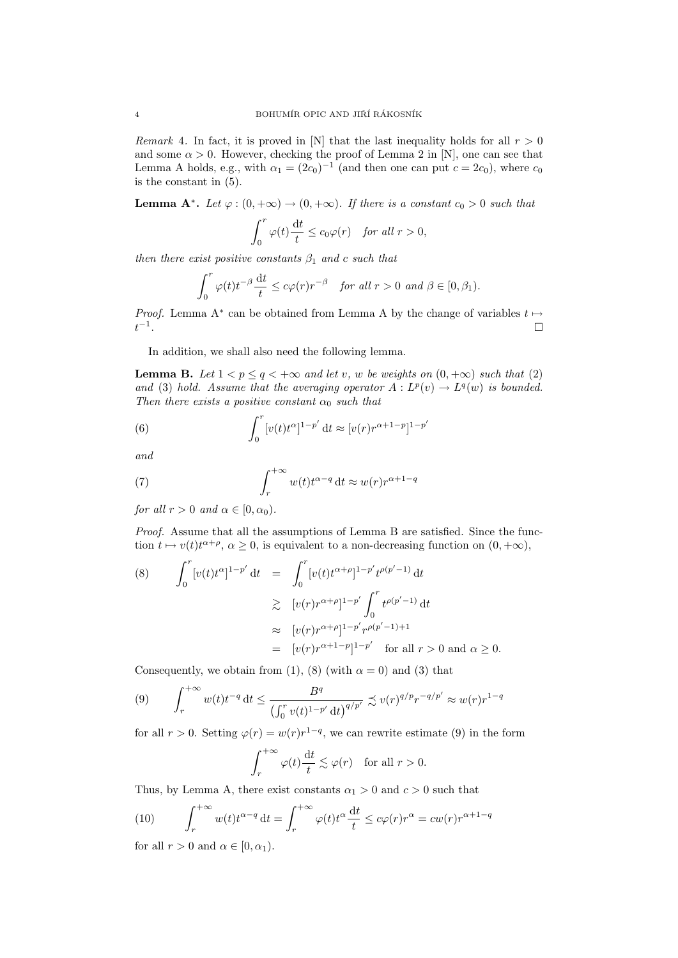Remark 4. In fact, it is proved in [N] that the last inequality holds for all  $r > 0$ and some  $\alpha > 0$ . However, checking the proof of Lemma 2 in [N], one can see that Lemma A holds, e.g., with  $\alpha_1 = (2c_0)^{-1}$  (and then one can put  $c = 2c_0$ ), where  $c_0$ is the constant in (5).

**Lemma A<sup>\*</sup>.** Let  $\varphi : (0, +\infty) \to (0, +\infty)$ . If there is a constant  $c_0 > 0$  such that

$$
\int_0^r \varphi(t) \frac{\mathrm{d}t}{t} \le c_0 \varphi(r) \quad \text{for all } r > 0,
$$

then there exist positive constants  $\beta_1$  and c such that

$$
\int_0^r \varphi(t)t^{-\beta} \frac{\mathrm{d}t}{t} \le c\varphi(r)r^{-\beta} \quad \text{for all } r > 0 \text{ and } \beta \in [0, \beta_1).
$$

*Proof.* Lemma A<sup>\*</sup> can be obtained from Lemma A by the change of variables  $t \mapsto$  $t^{-1}$ .

In addition, we shall also need the following lemma.

**Lemma B.** Let  $1 < p \leq q < +\infty$  and let v, w be weights on  $(0, +\infty)$  such that (2) and (3) hold. Assume that the averaging operator  $A: L^p(v) \to L^q(w)$  is bounded. Then there exists a positive constant  $\alpha_0$  such that

(6) 
$$
\int_0^r \left[v(t)t^{\alpha}\right]^{1-p'} dt \approx \left[v(r)r^{\alpha+1-p}\right]^{1-p'}
$$

and

(7) 
$$
\int_{r}^{+\infty} w(t)t^{\alpha-q} dt \approx w(r)r^{\alpha+1-q}
$$

for all  $r > 0$  and  $\alpha \in [0, \alpha_0)$ .

Proof. Assume that all the assumptions of Lemma B are satisfied. Since the function  $t \mapsto v(t)t^{\alpha+\rho}, \alpha \ge 0$ , is equivalent to a non-decreasing function on  $(0, +\infty)$ ,

(8) 
$$
\int_0^r [v(t)t^{\alpha}]^{1-p'} dt = \int_0^r [v(t)t^{\alpha+\rho}]^{1-p'} t^{\rho(p'-1)} dt
$$
  
\n
$$
\geq [v(r)r^{\alpha+\rho}]^{1-p'} \int_0^r t^{\rho(p'-1)} dt
$$
  
\n
$$
\approx [v(r)r^{\alpha+\rho}]^{1-p'} r^{\rho(p'-1)+1}
$$
  
\n
$$
= [v(r)r^{\alpha+1-p}]^{1-p'} \text{ for all } r > 0 \text{ and } \alpha \geq 0.
$$

Consequently, we obtain from (1), (8) (with  $\alpha = 0$ ) and (3) that

$$
(9) \qquad \int_{r}^{+\infty} w(t)t^{-q} dt \le \frac{B^{q}}{\left(\int_{0}^{r} v(t)^{1-p'} dt\right)^{q/p'}} \precsim v(r)^{q/p} r^{-q/p'} \approx w(r)r^{1-q}
$$

for all  $r > 0$ . Setting  $\varphi(r) = w(r)r^{1-q}$ , we can rewrite estimate (9) in the form

$$
\int_r^{+\infty} \varphi(t) \frac{\mathrm{d}t}{t} \lesssim \varphi(r) \quad \text{for all } r > 0.
$$

Thus, by Lemma A, there exist constants  $\alpha_1 > 0$  and  $c > 0$  such that

(10) 
$$
\int_{r}^{+\infty} w(t)t^{\alpha-q} dt = \int_{r}^{+\infty} \varphi(t)t^{\alpha} \frac{dt}{t} \leq c\varphi(r)r^{\alpha} = cw(r)r^{\alpha+1-q}
$$

for all  $r > 0$  and  $\alpha \in [0, \alpha_1)$ .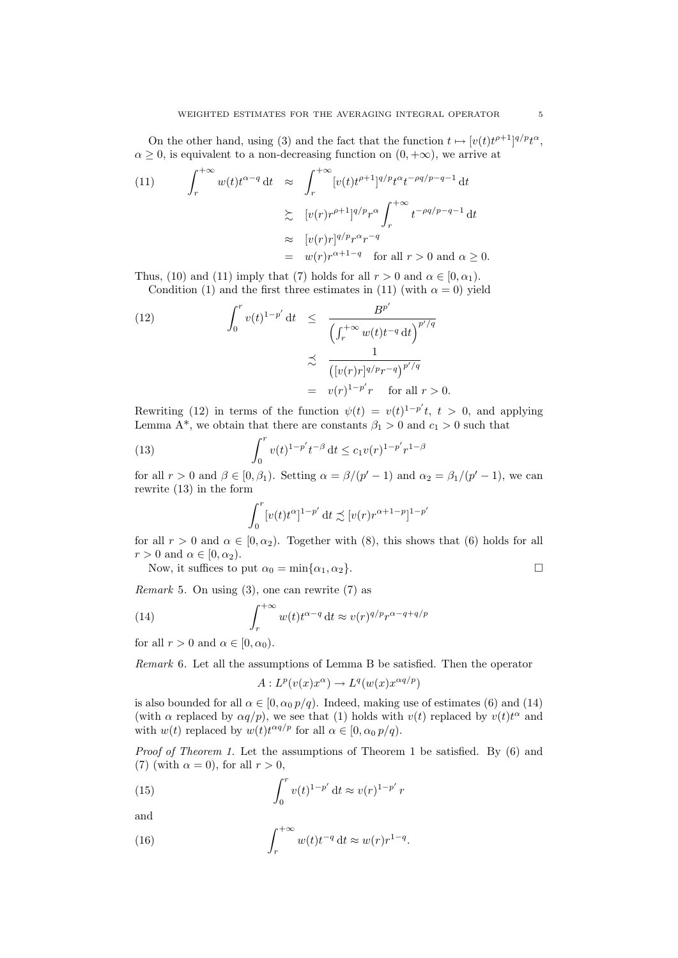On the other hand, using (3) and the fact that the function  $t \mapsto [v(t)t^{\rho+1}]^{q/p}t^{\alpha}$ ,  $\alpha \geq 0$ , is equivalent to a non-decreasing function on  $(0, +\infty)$ , we arrive at

(11) 
$$
\int_{r}^{+\infty} w(t)t^{\alpha-q} dt \approx \int_{r}^{+\infty} [v(t)t^{\rho+1}]^{q/p} t^{\alpha} t^{-\rho q/p-q-1} dt
$$

$$
\approx [v(r)r^{\rho+1}]^{q/p} r^{\alpha} \int_{r}^{+\infty} t^{-\rho q/p-q-1} dt
$$

$$
\approx [v(r)r]^{q/p} r^{\alpha} r^{-q}
$$

$$
= w(r)r^{\alpha+1-q} \text{ for all } r > 0 \text{ and } \alpha \ge 0.
$$

Thus, (10) and (11) imply that (7) holds for all  $r > 0$  and  $\alpha \in [0, \alpha_1)$ .

Condition (1) and the first three estimates in (11) (with  $\alpha = 0$ ) yield

(12) 
$$
\int_0^r v(t)^{1-p'} dt \leq \frac{B^{p'}}{\left(\int_r^{+\infty} w(t)t^{-q} dt\right)^{p'/q}}
$$

$$
\leq \frac{1}{\left([v(r)r]^{q/p}r^{-q}\right)^{p'/q}}
$$

$$
= v(r)^{1-p'}r \quad \text{for all } r > 0.
$$

Rewriting (12) in terms of the function  $\psi(t) = v(t)^{1-p'}t$ ,  $t > 0$ , and applying Lemma A<sup>\*</sup>, we obtain that there are constants  $\beta_1 > 0$  and  $c_1 > 0$  such that

(13) 
$$
\int_0^r v(t)^{1-p'} t^{-\beta} dt \le c_1 v(r)^{1-p'} r^{1-\beta}
$$

for all  $r > 0$  and  $\beta \in [0, \beta_1)$ . Setting  $\alpha = \beta/(p' - 1)$  and  $\alpha_2 = \beta_1/(p' - 1)$ , we can rewrite (13) in the form

$$
\int_0^r [v(t)t^{\alpha}]^{1-p'} dt \precsim [v(r)r^{\alpha+1-p}]^{1-p'}
$$

for all  $r > 0$  and  $\alpha \in [0, \alpha_2)$ . Together with (8), this shows that (6) holds for all  $r > 0$  and  $\alpha \in [0, \alpha_2)$ .

Now, it suffices to put  $\alpha_0 = \min{\{\alpha_1, \alpha_2\}}$ .

*Remark* 5. On using 
$$
(3)
$$
, one can rewrite  $(7)$  as

(14) 
$$
\int_{r}^{+\infty} w(t)t^{\alpha-q} dt \approx v(r)^{q/p}r^{\alpha-q+q/p}
$$

for all  $r > 0$  and  $\alpha \in [0, \alpha_0)$ .

Remark 6. Let all the assumptions of Lemma B be satisfied. Then the operator

$$
A: L^p(v(x)x^{\alpha}) \to L^q(w(x)x^{\alpha q/p})
$$

is also bounded for all  $\alpha \in [0, \alpha_0 p/q)$ . Indeed, making use of estimates (6) and (14) (with  $\alpha$  replaced by  $\alpha q/p$ ), we see that (1) holds with  $v(t)$  replaced by  $v(t)t^{\alpha}$  and with  $w(t)$  replaced by  $w(t)t^{\alpha q/p}$  for all  $\alpha \in [0, \alpha_0 p/q)$ .

Proof of Theorem 1. Let the assumptions of Theorem 1 be satisfied. By  $(6)$  and (7) (with  $\alpha = 0$ ), for all  $r > 0$ ,

(15) 
$$
\int_0^r v(t)^{1-p'} dt \approx v(r)^{1-p'} r
$$

and

(16) 
$$
\int_{r}^{+\infty} w(t)t^{-q} dt \approx w(r)r^{1-q}.
$$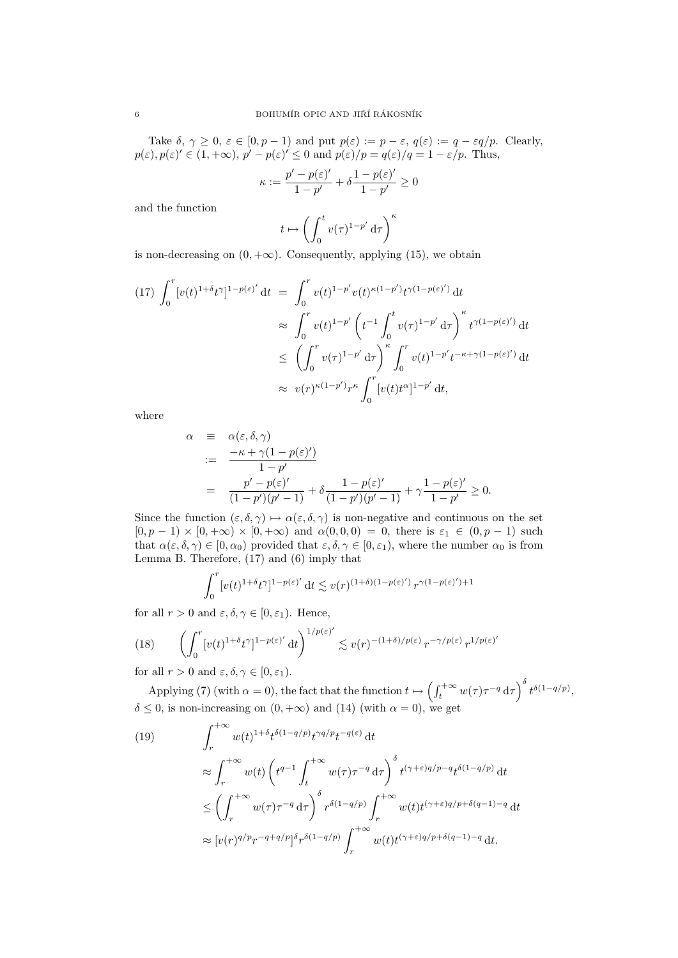Take  $\delta, \gamma \geq 0, \varepsilon \in [0, p-1)$  and put  $p(\varepsilon) := p - \varepsilon, q(\varepsilon) := q - \varepsilon q/p$ . Clearly,  $p(\varepsilon), p(\varepsilon)' \in (1, +\infty), p' - p(\varepsilon)' \leq 0 \text{ and } p(\varepsilon)/p = q(\varepsilon)/q = 1 - \varepsilon/p.$  Thus,

$$
\kappa := \frac{p'-p(\varepsilon)'}{1-p'} + \delta \frac{1-p(\varepsilon)'}{1-p'} \ge 0
$$

and the function

$$
t \mapsto \left( \int_0^t v(\tau)^{1-p'} \,\mathrm{d}\tau \right)^\kappa
$$

is non-decreasing on  $(0, +\infty)$ . Consequently, applying (15), we obtain

$$
(17) \int_0^r [v(t)^{1+\delta}t^{\gamma}]^{1-p(\varepsilon)'} dt = \int_0^r v(t)^{1-p'} v(t)^{\kappa(1-p')} t^{\gamma(1-p(\varepsilon)')} dt
$$
  
\n
$$
\approx \int_0^r v(t)^{1-p'} \left( t^{-1} \int_0^t v(\tau)^{1-p'} d\tau \right)^{\kappa} t^{\gamma(1-p(\varepsilon)')} dt
$$
  
\n
$$
\leq \left( \int_0^r v(\tau)^{1-p'} d\tau \right)^{\kappa} \int_0^r v(t)^{1-p'} t^{-\kappa+\gamma(1-p(\varepsilon)')} dt
$$
  
\n
$$
\approx v(r)^{\kappa(1-p')} r^{\kappa} \int_0^r [v(t)t^{\alpha}]^{1-p'} dt,
$$

where

$$
\alpha = \alpha(\varepsilon, \delta, \gamma)
$$
  
\n
$$
:= \frac{-\kappa + \gamma(1 - p(\varepsilon)')}{1 - p'}
$$
  
\n
$$
= \frac{p' - p(\varepsilon)'}{(1 - p')(p' - 1)} + \delta \frac{1 - p(\varepsilon)'}{(1 - p')(p' - 1)} + \gamma \frac{1 - p(\varepsilon)'}{1 - p'} \ge 0.
$$

Since the function  $(\varepsilon, \delta, \gamma) \mapsto \alpha(\varepsilon, \delta, \gamma)$  is non-negative and continuous on the set  $[0, p - 1] \times [0, +\infty) \times [0, +\infty)$  and  $\alpha(0, 0, 0) = 0$ , there is  $\varepsilon_1 \in (0, p - 1)$  such that  $\alpha(\varepsilon, \delta, \gamma) \in [0, \alpha_0)$  provided that  $\varepsilon, \delta, \gamma \in [0, \varepsilon_1)$ , where the number  $\alpha_0$  is from Lemma B. Therefore, (17) and (6) imply that

$$
\int_0^r [v(t)^{1+\delta} t^\gamma]^{1-p(\varepsilon)'} dt \lesssim v(r)^{(1+\delta)(1-p(\varepsilon)')} r^{\gamma(1-p(\varepsilon))+1}
$$

for all  $r > 0$  and  $\varepsilon, \delta, \gamma \in [0, \varepsilon_1)$ . Hence,

(18) 
$$
\left(\int_0^r [v(t)^{1+\delta}t^{\gamma}]^{1-p(\varepsilon)'} dt\right)^{1/p(\varepsilon)'} \lesssim v(r)^{-(1+\delta)/p(\varepsilon)} r^{-\gamma/p(\varepsilon)} r^{1/p(\varepsilon)'}
$$

for all  $r > 0$  and  $\varepsilon, \delta, \gamma \in [0, \varepsilon_1)$ .

Applying (7) (with  $\alpha = 0$ ), the fact that the function  $t \mapsto \left(\int_t^{+\infty} w(\tau) \tau^{-q} d\tau\right)^{\delta} t^{\delta(1-q/p)},$  $\delta \leq 0$ , is non-increasing on  $(0, +\infty)$  and  $(14)$  (with  $\alpha = 0$ ), we get

(19)  
\n
$$
\int_{r}^{+\infty} w(t)^{1+\delta} t^{\delta(1-q/p)} t^{\gamma q/p} t^{-q(\varepsilon)} dt
$$
\n
$$
\approx \int_{r}^{+\infty} w(t) \left( t^{q-1} \int_{t}^{+\infty} w(\tau) \tau^{-q} d\tau \right)^{\delta} t^{(\gamma+\varepsilon)q/p-q} t^{\delta(1-q/p)} dt
$$
\n
$$
\leq \left( \int_{r}^{+\infty} w(\tau) \tau^{-q} d\tau \right)^{\delta} r^{\delta(1-q/p)} \int_{r}^{+\infty} w(t) t^{(\gamma+\varepsilon)q/p+\delta(q-1)-q} dt
$$
\n
$$
\approx [v(r)^{q/p} r^{-q+q/p}]^{\delta} r^{\delta(1-q/p)} \int_{r}^{+\infty} w(t) t^{(\gamma+\varepsilon)q/p+\delta(q-1)-q} dt.
$$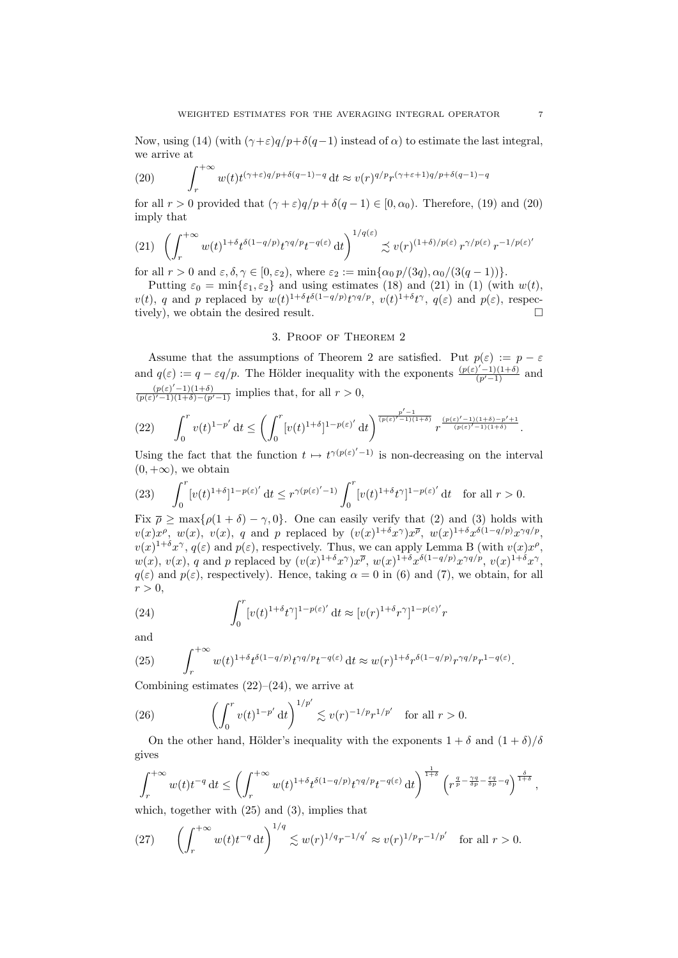Now, using (14) (with  $(\gamma + \varepsilon)q/p + \delta(q-1)$  instead of  $\alpha$ ) to estimate the last integral, we arrive at

(20) 
$$
\int_{r}^{+\infty} w(t)t^{(\gamma+\varepsilon)q/p+\delta(q-1)-q} dt \approx v(r)^{q/p}r^{(\gamma+\varepsilon+1)q/p+\delta(q-1)-q}
$$

for all  $r > 0$  provided that  $(\gamma + \varepsilon)q/p + \delta(q - 1) \in [0, \alpha_0)$ . Therefore, (19) and (20) imply that

$$
(21) \quad \left(\int_r^{+\infty} w(t)^{1+\delta} t^{\delta(1-q/p)} t^{\gamma q/p} t^{-q(\varepsilon)} dt\right)^{1/q(\varepsilon)} \precsim v(r)^{(1+\delta)/p(\varepsilon)} r^{\gamma/p(\varepsilon)} r^{-1/p(\varepsilon)'}
$$

for all  $r > 0$  and  $\varepsilon, \delta, \gamma \in [0, \varepsilon_2)$ , where  $\varepsilon_2 := \min{\{\alpha_0 p/(3q), \alpha_0/(3(q-1))\}}$ .

Putting  $\varepsilon_0 = \min\{\varepsilon_1, \varepsilon_2\}$  and using estimates (18) and (21) in (1) (with  $w(t)$ ,  $v(t)$ , q and p replaced by  $w(t)^{1+\delta}t^{\delta(1-q/p)}t^{\gamma q/p}$ ,  $v(t)^{1+\delta}t^{\gamma}$ ,  $q(\varepsilon)$  and  $p(\varepsilon)$ , respectively), we obtain the desired result.

## 3. Proof of Theorem 2

Assume that the assumptions of Theorem 2 are satisfied. Put  $p(\varepsilon) := p - \varepsilon$ and  $q(\varepsilon) := q - \varepsilon q/p$ . The Hölder inequality with the exponents  $\frac{(p(\varepsilon)^{r}-1)(1+\delta)}{(p^r-1)}$  and  $(p(\varepsilon)'-1)(1+\delta)$  $\frac{(p(\varepsilon)-1)(1+\delta)}{(p(\varepsilon)'-1)(1+\delta)-(p'-1)}$  implies that, for all  $r>0$ ,

$$
(22) \qquad \int_0^r v(t)^{1-p'}\,\mathrm{d} t \le \left(\int_0^r [v(t)^{1+\delta}]^{1-p(\varepsilon)'}\,\mathrm{d} t\right)^{\frac{p'-1}{(p(\varepsilon)'\,-1)(1+\delta)}}r^{\frac{(p(\varepsilon)'\,-1)(1+\delta)-p'+1}{(p(\varepsilon)'\,-1)(1+\delta)}}.
$$

Using the fact that the function  $t \mapsto t^{\gamma(p(\varepsilon)'-1)}$  is non-decreasing on the interval  $(0, +\infty)$ , we obtain

(23) 
$$
\int_0^r [v(t)^{1+\delta}]^{1-p(\varepsilon)} dt \leq r^{\gamma(p(\varepsilon)'-1)} \int_0^r [v(t)^{1+\delta} t^{\gamma}]^{1-p(\varepsilon)} dt \text{ for all } r > 0.
$$

Fix  $\bar{\rho} \ge \max\{\rho(1+\delta) - \gamma, 0\}$ . One can easily verify that (2) and (3) holds with  $v(x)x^{\rho}, w(x), v(x), q$  and p replaced by  $(v(x)^{1+\delta}x^{\gamma})x^{\overline{\rho}}, w(x)^{1+\delta}x^{\delta(1-q/p)}x^{\gamma q/p},$  $v(x)^{1+\delta}x^{\gamma}, q(\varepsilon)$  and  $p(\varepsilon)$ , respectively. Thus, we can apply Lemma B (with  $v(x)x^{\rho}$ ,  $w(x)$ ,  $v(x)$ , q and p replaced by  $(v(x)^{1+\delta}x^{\gamma})x^{\overline{\rho}}$ ,  $w(x)^{1+\delta}x^{\delta(1-q/p)}x^{\gamma q/p}$ ,  $v(x)^{1+\delta}x^{\gamma}$ ,  $q(\varepsilon)$  and  $p(\varepsilon)$ , respectively). Hence, taking  $\alpha = 0$  in (6) and (7), we obtain, for all  $r > 0$ ,

(24) 
$$
\int_0^r [v(t)^{1+\delta} t^{\gamma}]^{1-p(\varepsilon)} dt \approx [v(r)^{1+\delta} r^{\gamma}]^{1-p(\varepsilon)}' r
$$

and

(25) 
$$
\int_r^{+\infty} w(t)^{1+\delta} t^{\delta(1-q/p)} t^{\gamma q/p} t^{-q(\varepsilon)} dt \approx w(r)^{1+\delta} r^{\delta(1-q/p)} r^{\gamma q/p} r^{1-q(\varepsilon)}.
$$

Combining estimates  $(22)$ – $(24)$ , we arrive at

(26) 
$$
\left(\int_0^r v(t)^{1-p'} dt\right)^{1/p'} \lesssim v(r)^{-1/p} r^{1/p'} \text{ for all } r > 0.
$$

On the other hand, Hölder's inequality with the exponents  $1 + \delta$  and  $(1 + \delta)/\delta$ gives

$$
\int_r^{+\infty} w(t)t^{-q} dt \le \left(\int_r^{+\infty} w(t)^{1+\delta} t^{\delta(1-q/p)} t^{\gamma q/p} t^{-q(\varepsilon)} dt\right)^{\frac{1}{1+\delta}} \left(r^{\frac{q}{p} - \frac{\gamma q}{\delta p} - \frac{\varepsilon q}{\delta p} - q}\right)^{\frac{\delta}{1+\delta}},
$$

which, together with (25) and (3), implies that

(27) 
$$
\left(\int_r^{+\infty} w(t)t^{-q} dt\right)^{1/q} \lesssim w(r)^{1/q}r^{-1/q'} \approx v(r)^{1/p}r^{-1/p'}
$$
 for all  $r > 0$ .